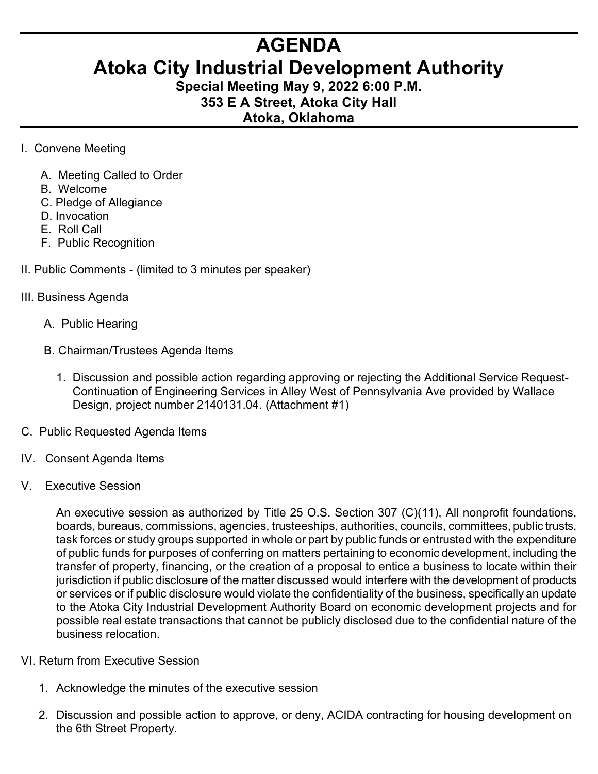## **AGENDA**

## **Atoka City Industrial Development Authority**

**Special Meeting May 9, 2022 6:00 P.M. 353 E A Street, Atoka City Hall Atoka, Oklahoma** 

- I. Convene Meeting
	- A. Meeting Called to Order
	- B. Welcome
	- C. Pledge of Allegiance
	- D. Invocation
	- E. Roll Call
	- F. Public Recognition
- II. Public Comments (limited to 3 minutes per speaker)
- III. Business Agenda
	- A. Public Hearing
	- B. Chairman/Trustees Agenda Items
		- 1. Discussion and possible action regarding approving or rejecting the Additional Service Request- Continuation of Engineering Services in Alley West of Pennsylvania Ave provided by Wallace Design, project number 2140131.04. (Attachment #1)
- C. Public Requested Agenda Items
- IV. Consent Agenda Items
- V. Executive Session

An executive session as authorized by Title 25 O.S. Section 307 (C)(11), All nonprofit foundations, boards, bureaus, commissions, agencies, trusteeships, authorities, councils, committees, public trusts, task forces or study groups supported in whole or part by public funds or entrusted with the expenditure of public funds for purposes of conferring on matters pertaining to economic development, including the transfer of property, financing, or the creation of a proposal to entice a business to locate within their jurisdiction if public disclosure of the matter discussed would interfere with the development of products or services or if public disclosure would violate the confidentiality of the business, specifically an update to the Atoka City Industrial Development Authority Board on economic development projects and for possible real estate transactions that cannot be publicly disclosed due to the confidential nature of the business relocation.

- VI. Return from Executive Session
	- 1. Acknowledge the minutes of the executive session
	- 2. Discussion and possible action to approve, or deny, ACIDA contracting for housing development on the 6th Street Property.